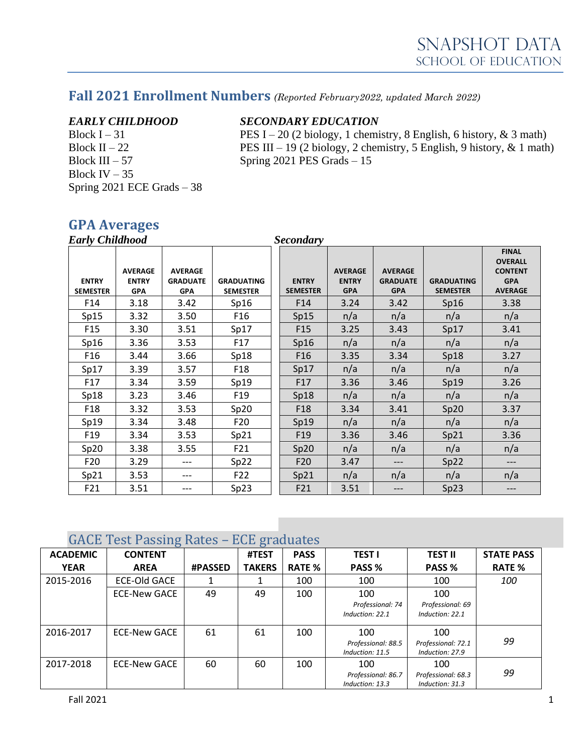# **Fall 2021 Enrollment Numbers** *(Reported February2022, updated March 2022)*

Block IV  $-35$ Spring 2021 ECE Grads – 38

#### *EARLY CHILDHOOD SECONDARY EDUCATION*

Block I – 31 **PES** I – 20 (2 biology, 1 chemistry, 8 English, 6 history, & 3 math) Block II – 22 PES III – 19 (2 biology, 2 chemistry, 5 English, 9 history, & 1 math)<br>Block III – 57 Spring 2021 PES Grads – 15 Spring  $2021$  PES Grads  $-15$ 

#### **GPA Averages**

| <b>Early Childhood</b>          |                                              |                                                 |                                      | <b>Secondary</b>                |                                              |                                                 |                                      |                                                                                  |
|---------------------------------|----------------------------------------------|-------------------------------------------------|--------------------------------------|---------------------------------|----------------------------------------------|-------------------------------------------------|--------------------------------------|----------------------------------------------------------------------------------|
| <b>ENTRY</b><br><b>SEMESTER</b> | <b>AVERAGE</b><br><b>ENTRY</b><br><b>GPA</b> | <b>AVERAGE</b><br><b>GRADUATE</b><br><b>GPA</b> | <b>GRADUATING</b><br><b>SEMESTER</b> | <b>ENTRY</b><br><b>SEMESTER</b> | <b>AVERAGE</b><br><b>ENTRY</b><br><b>GPA</b> | <b>AVERAGE</b><br><b>GRADUATE</b><br><b>GPA</b> | <b>GRADUATING</b><br><b>SEMESTER</b> | <b>FINAL</b><br><b>OVERALL</b><br><b>CONTENT</b><br><b>GPA</b><br><b>AVERAGE</b> |
| F14                             | 3.18                                         | 3.42                                            | Sp16                                 | F14                             | 3.24                                         | 3.42                                            | Sp16                                 | 3.38                                                                             |
| Sp15                            | 3.32                                         | 3.50                                            | F <sub>16</sub>                      | Sp15                            | n/a                                          | n/a                                             | n/a                                  | n/a                                                                              |
| F <sub>15</sub>                 | 3.30                                         | 3.51                                            | Sp17                                 | F <sub>15</sub>                 | 3.25                                         | 3.43                                            | Sp17                                 | 3.41                                                                             |
| Sp16                            | 3.36                                         | 3.53                                            | F17                                  | Sp16                            | n/a                                          | n/a                                             | n/a                                  | n/a                                                                              |
| F <sub>16</sub>                 | 3.44                                         | 3.66                                            | Sp18                                 | F <sub>16</sub>                 | 3.35                                         | 3.34                                            | Sp18                                 | 3.27                                                                             |
| Sp17                            | 3.39                                         | 3.57                                            | F <sub>18</sub>                      | Sp17                            | n/a                                          | n/a                                             | n/a                                  | n/a                                                                              |
| F17                             | 3.34                                         | 3.59                                            | Sp19                                 | F <sub>17</sub>                 | 3.36                                         | 3.46                                            | Sp19                                 | 3.26                                                                             |
| Sp18                            | 3.23                                         | 3.46                                            | F <sub>19</sub>                      | Sp18                            | n/a                                          | n/a                                             | n/a                                  | n/a                                                                              |
| F <sub>18</sub>                 | 3.32                                         | 3.53                                            | Sp20                                 | F <sub>18</sub>                 | 3.34                                         | 3.41                                            | Sp20                                 | 3.37                                                                             |
| Sp19                            | 3.34                                         | 3.48                                            | F <sub>20</sub>                      | Sp19                            | n/a                                          | n/a                                             | n/a                                  | n/a                                                                              |
| F <sub>19</sub>                 | 3.34                                         | 3.53                                            | Sp21                                 | F <sub>19</sub>                 | 3.36                                         | 3.46                                            | Sp21                                 | 3.36                                                                             |
| Sp20                            | 3.38                                         | 3.55                                            | F21                                  | Sp20                            | n/a                                          | n/a                                             | n/a                                  | n/a                                                                              |
| F <sub>20</sub>                 | 3.29                                         | $---$                                           | Sp22                                 | F <sub>20</sub>                 | 3.47                                         | $---$                                           | Sp22                                 | ---                                                                              |
| Sp21                            | 3.53                                         | ---                                             | F22                                  | Sp21                            | n/a                                          | n/a                                             | n/a                                  | n/a                                                                              |
| F21                             | 3.51                                         | ---                                             | Sp23                                 | F21                             | 3.51                                         | ---                                             | Sp23                                 | ---                                                                              |

#### GACE Test Passing Rates – ECE graduates

| $\frac{1}{2}$ and $\frac{1}{2}$ and $\frac{1}{2}$ and $\frac{1}{2}$ and $\frac{1}{2}$ |                     |                |               |               |                    |                    |                   |  |
|---------------------------------------------------------------------------------------|---------------------|----------------|---------------|---------------|--------------------|--------------------|-------------------|--|
| <b>ACADEMIC</b>                                                                       | <b>CONTENT</b>      |                | #TEST         | <b>PASS</b>   | <b>TEST I</b>      | TEST II            | <b>STATE PASS</b> |  |
| <b>YEAR</b>                                                                           | <b>AREA</b>         | <b>#PASSED</b> | <b>TAKERS</b> | <b>RATE %</b> | PASS %             | PASS %             | <b>RATE %</b>     |  |
| 2015-2016                                                                             | <b>ECE-Old GACE</b> |                |               | 100           | 100                | 100                | 100               |  |
|                                                                                       | <b>ECE-New GACE</b> | 49             | 49            | 100           | 100                | 100                |                   |  |
|                                                                                       |                     |                |               |               | Professional: 74   | Professional: 69   |                   |  |
|                                                                                       |                     |                |               |               | Induction: 22.1    | Induction: 22.1    |                   |  |
| 2016-2017                                                                             | ECE-New GACE        | 61             | 61            | 100           | 100                | 100                |                   |  |
|                                                                                       |                     |                |               |               | Professional: 88.5 | Professional: 72.1 | 99                |  |
|                                                                                       |                     |                |               |               | Induction: 11.5    | Induction: 27.9    |                   |  |
| 2017-2018                                                                             | <b>ECE-New GACE</b> | 60             | 60            | 100           | 100                | 100                |                   |  |
|                                                                                       |                     |                |               |               | Professional: 86.7 | Professional: 68.3 | 99                |  |
|                                                                                       |                     |                |               |               | Induction: 13.3    | Induction: 31.3    |                   |  |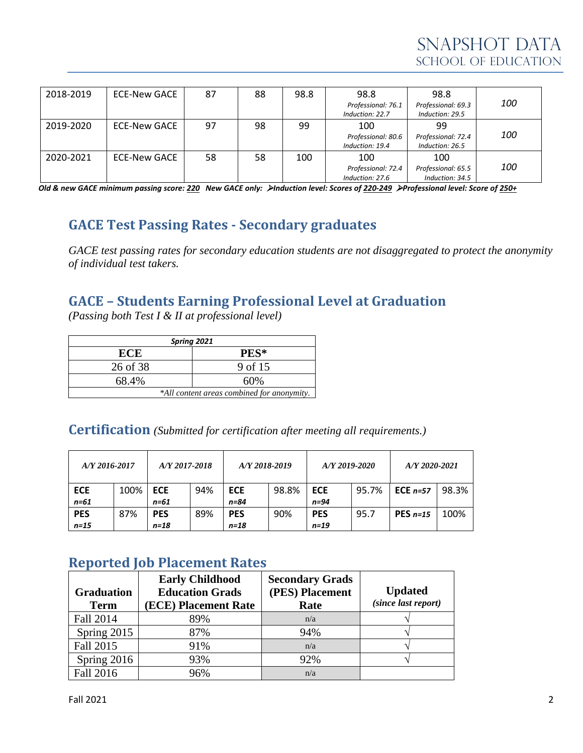| 2018-2019 | ECE-New GACE | 87 | 88 | 98.8 | 98.8               | 98.8               |            |
|-----------|--------------|----|----|------|--------------------|--------------------|------------|
|           |              |    |    |      | Professional: 76.1 | Professional: 69.3 | <i>100</i> |
|           |              |    |    |      | Induction: 22.7    | Induction: 29.5    |            |
| 2019-2020 | ECE-New GACE | 97 | 98 | 99   | 100                | 99                 |            |
|           |              |    |    |      | Professional: 80.6 | Professional: 72.4 | <i>100</i> |
|           |              |    |    |      | Induction: 19.4    | Induction: 26.5    |            |
| 2020-2021 | ECE-New GACE | 58 | 58 | 100  | 100                | 100                |            |
|           |              |    |    |      | Professional: 72.4 | Professional: 65.5 | <i>100</i> |
|           |              |    |    |      | Induction: 27.6    | Induction: 34.5    |            |

*Old & new GACE minimum passing score: 220 New GACE only:* ➢*Induction level: Scores of 220-249* ➢*Professional level: Score of 250+*

## **GACE Test Passing Rates - Secondary graduates**

*GACE test passing rates for secondary education students are not disaggregated to protect the anonymity of individual test takers.*

#### **GACE – Students Earning Professional Level at Graduation**

*(Passing both Test I & II at professional level)*

| Spring 2021                                |         |  |  |  |  |
|--------------------------------------------|---------|--|--|--|--|
| ECE                                        | PES*    |  |  |  |  |
| 26 of 38                                   | 9 of 15 |  |  |  |  |
| 68.4%                                      | 60%     |  |  |  |  |
| *All content areas combined for anonymity. |         |  |  |  |  |

**Certification** *(Submitted for certification after meeting all requirements.)*

| $A/Y$ 2016-2017 |      | A/Y 2017-2018 | A/Y 2018-2019 |            | $A/Y$ 2019-2020 |            |       | A/Y 2020-2021 |       |
|-----------------|------|---------------|---------------|------------|-----------------|------------|-------|---------------|-------|
| <b>ECE</b>      | 100% | <b>ECE</b>    | 94%           | <b>ECE</b> | 98.8%           | <b>ECE</b> | 95.7% | ECE $n=57$    | 98.3% |
| n=61            |      | n=61          |               | n=84       |                 | $n=94$     |       |               |       |
| <b>PES</b>      | 87%  | <b>PES</b>    | 89%           | <b>PES</b> | 90%             | <b>PES</b> | 95.7  | PES $n=15$    | 100%  |
| $n=15$          |      | $n=18$        |               | $n = 18$   |                 | $n=19$     |       |               |       |

#### **Reported Job Placement Rates**

| <b>Graduation</b><br><b>Term</b> | <b>Early Childhood</b><br><b>Education Grads</b><br>(ECE) Placement Rate | <b>Secondary Grads</b><br>(PES) Placement<br>Rate | <b>Updated</b><br>(since last report) |
|----------------------------------|--------------------------------------------------------------------------|---------------------------------------------------|---------------------------------------|
| Fall 2014                        | 89%                                                                      | n/a                                               |                                       |
| Spring 2015                      | 87%                                                                      | 94%                                               |                                       |
| Fall 2015                        | 91%                                                                      | n/a                                               |                                       |
| Spring 2016                      | 93%                                                                      | 92%                                               |                                       |
| Fall 2016                        | 96%                                                                      | n/a                                               |                                       |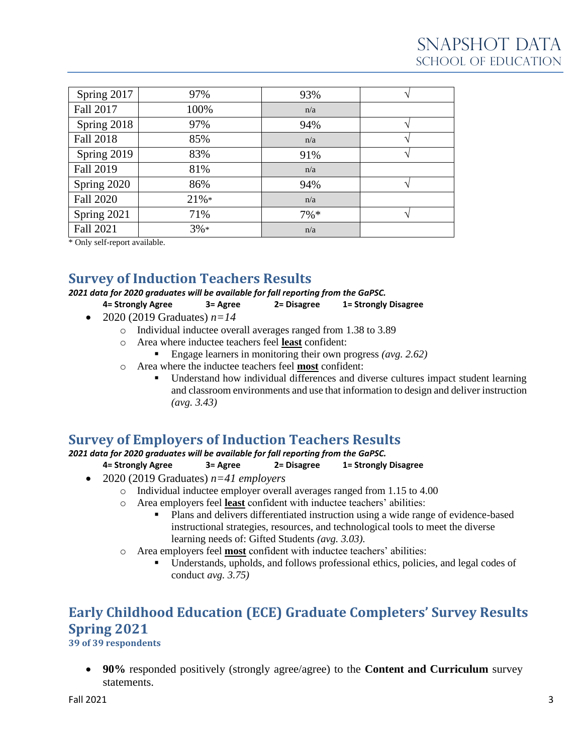| Spring 2017      | 97%     | 93%     |  |
|------------------|---------|---------|--|
| <b>Fall 2017</b> | 100%    | n/a     |  |
| Spring 2018      | 97%     | 94%     |  |
| <b>Fall 2018</b> | 85%     | n/a     |  |
| Spring 2019      | 83%     | 91%     |  |
| <b>Fall 2019</b> | 81%     | n/a     |  |
| Spring 2020      | 86%     | 94%     |  |
| <b>Fall 2020</b> | $21\%*$ | n/a     |  |
| Spring 2021      | 71%     | $7\% *$ |  |
| Fall 2021        | $3%*$   | n/a     |  |

\* Only self-report available.

## **Survey of Induction Teachers Results**

*2021 data for 2020 graduates will be available for fall reporting from the GaPSC.*

**4= Strongly Agree 3= Agree 2= Disagree 1= Strongly Disagree**

- 2020 (2019 Graduates)  $n=14$ 
	- o Individual inductee overall averages ranged from 1.38 to 3.89
	- o Area where inductee teachers feel **least** confident:
		- Engage learners in monitoring their own progress *(avg. 2.62)*
	- o Area where the inductee teachers feel **most** confident:
		- Understand how individual differences and diverse cultures impact student learning and classroom environments and use that information to design and deliver instruction *(avg. 3.43)*

#### **Survey of Employers of Induction Teachers Results**

*2021 data for 2020 graduates will be available for fall reporting from the GaPSC.*

#### **4= Strongly Agree 3= Agree 2= Disagree 1= Strongly Disagree**

- 2020 (2019 Graduates) *n=41 employers*
	- o Individual inductee employer overall averages ranged from 1.15 to 4.00
	- o Area employers feel **least** confident with inductee teachers' abilities:
		- Plans and delivers differentiated instruction using a wide range of evidence-based instructional strategies, resources, and technological tools to meet the diverse learning needs of: Gifted Students *(avg. 3.03).*
	- o Area employers feel **most** confident with inductee teachers' abilities:
		- Understands, upholds, and follows professional ethics, policies, and legal codes of conduct *avg. 3.75)*

# **Early Childhood Education (ECE) Graduate Completers' Survey Results Spring 2021**

**39 of 39 respondents**

• **90%** responded positively (strongly agree/agree) to the **Content and Curriculum** survey statements.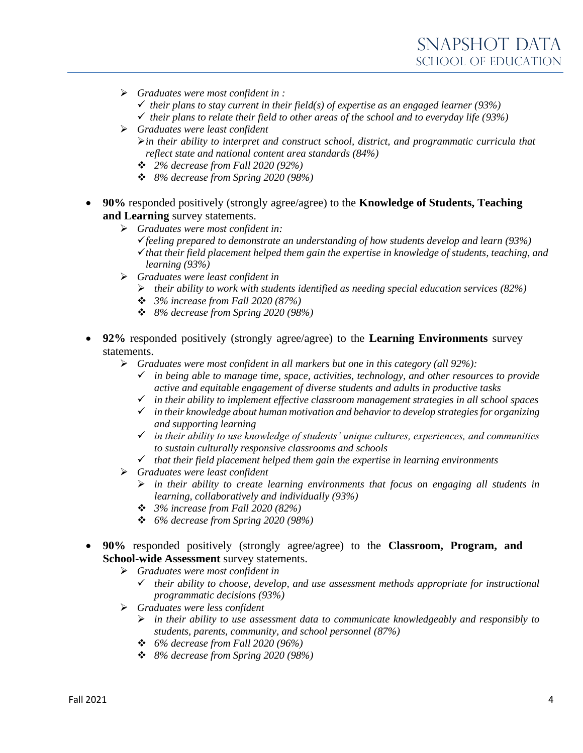- ➢ *Graduates were most confident in :*
	- $\checkmark$  their plans to stay current in their field(s) of expertise as an engaged learner (93%)
	- ✓ *their plans to relate their field to other areas of the school and to everyday life (93%)*
- ➢ *Graduates were least confident* ➢*in their ability to interpret and construct school, district, and programmatic curricula that reflect state and national content area standards (84%)*
	- ❖ *2% decrease from Fall 2020 (92%)*
	- ❖ *8% decrease from Spring 2020 (98%)*
- **90%** responded positively (strongly agree/agree) to the **Knowledge of Students, Teaching and Learning** survey statements.
	- ➢ *Graduates were most confident in:* ✓*feeling prepared to demonstrate an understanding of how students develop and learn (93%)* ✓*that their field placement helped them gain the expertise in knowledge of students, teaching, and learning (93%)*
	- ➢ *Graduates were least confident in*
		- ➢ *their ability to work with students identified as needing special education services (82%)*
		- ❖ *3% increase from Fall 2020 (87%)*
		- ❖ *8% decrease from Spring 2020 (98%)*
- **92%** responded positively (strongly agree/agree) to the **Learning Environments** survey statements.
	- ➢ *Graduates were most confident in all markers but one in this category (all 92%):*
		- ✓ *in being able to manage time, space, activities, technology, and other resources to provide active and equitable engagement of diverse students and adults in productive tasks*
		- ✓ *in their ability to implement effective classroom management strategies in all school spaces*
		- ✓ *in their knowledge about human motivation and behavior to develop strategies for organizing and supporting learning*
		- ✓ *in their ability to use knowledge of students' unique cultures, experiences, and communities to sustain culturally responsive classrooms and schools*
		- ✓ *that their field placement helped them gain the expertise in learning environments*
	- ➢ *Graduates were least confident*
		- ➢ *in their ability to create learning environments that focus on engaging all students in learning, collaboratively and individually (93%)*
		- ❖ *3% increase from Fall 2020 (82%)*
		- ❖ *6% decrease from Spring 2020 (98%)*
- **90%** responded positively (strongly agree/agree) to the **Classroom, Program, and School-wide Assessment** survey statements.
	- ➢ *Graduates were most confident in*
		- ✓ *their ability to choose, develop, and use assessment methods appropriate for instructional programmatic decisions (93%)*
	- ➢ *Graduates were less confident*
		- ➢ *in their ability to use assessment data to communicate knowledgeably and responsibly to students, parents, community, and school personnel (87%)*
		- ❖ *6% decrease from Fall 2020 (96%)*
		- ❖ *8% decrease from Spring 2020 (98%)*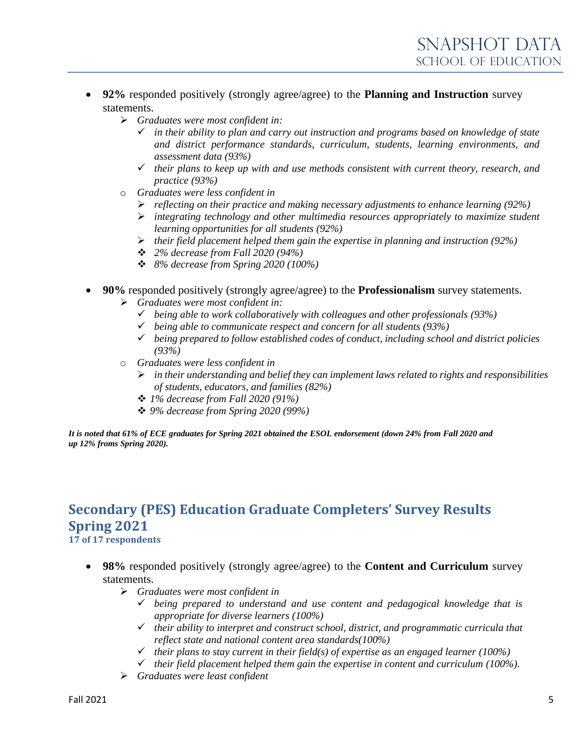- **92%** responded positively (strongly agree/agree) to the **Planning and Instruction** survey statements.
	- ➢ *Graduates were most confident in:*
		- ✓ *in their ability to plan and carry out instruction and programs based on knowledge of state and district performance standards, curriculum, students, learning environments, and assessment data (93%)*
		- ✓ *their plans to keep up with and use methods consistent with current theory, research, and practice (93%)*
	- o *Graduates were less confident in*
		- ➢ *reflecting on their practice and making necessary adjustments to enhance learning (92%)*
		- ➢ *integrating technology and other multimedia resources appropriately to maximize student learning opportunities for all students (92%)*
		- ➢ *their field placement helped them gain the expertise in planning and instruction (92%)*
		- ❖ *2% decrease from Fall 2020 (94%)*
		- ❖ *8% decrease from Spring 2020 (100%)*
- **90%** responded positively (strongly agree/agree) to the **Professionalism** survey statements.
	- ➢ *Graduates were most confident in:*
		- ✓ *being able to work collaboratively with colleagues and other professionals (93%)*
		- ✓ *being able to communicate respect and concern for all students (93%)*
		- ✓ *being prepared to follow established codes of conduct, including school and district policies (93%)*
	- o *Graduates were less confident in*
		- ➢ *in their understanding and belief they can implement laws related to rights and responsibilities of students, educators, and families (82%)*
		- ❖ *1% decrease from Fall 2020 (91%)*
		- ❖ *9% decrease from Spring 2020 (99%)*

*It is noted that 61% of ECE graduates for Spring 2021 obtained the ESOL endorsement (down 24% from Fall 2020 and up 12% froms Spring 2020).*

#### **Secondary (PES) Education Graduate Completers' Survey Results Spring 2021 17 of 17 respondents**

- **98%** responded positively (strongly agree/agree) to the **Content and Curriculum** survey statements.
	- ➢ *Graduates were most confident in*
		- ✓ *being prepared to understand and use content and pedagogical knowledge that is appropriate for diverse learners (100%)*
		- ✓ *their ability to interpret and construct school, district, and programmatic curricula that reflect state and national content area standards(100%)*
		- $\checkmark$  their plans to stay current in their field(s) of expertise as an engaged learner (100%)
		- ✓ *their field placement helped them gain the expertise in content and curriculum (100%).*
	- ➢ *Graduates were least confident*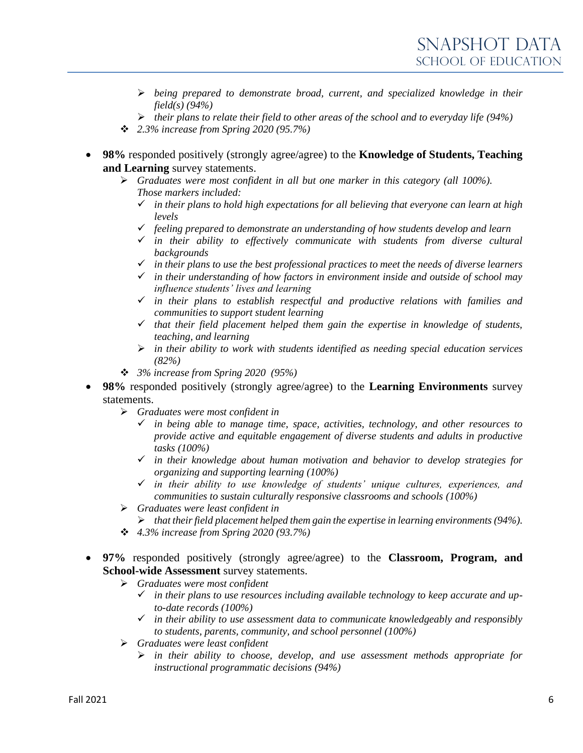- ➢ *being prepared to demonstrate broad, current, and specialized knowledge in their field(s) (94%)*
- ➢ *their plans to relate their field to other areas of the school and to everyday life (94%)*
- ❖ *2.3% increase from Spring 2020 (95.7%)*
- **98%** responded positively (strongly agree/agree) to the **Knowledge of Students, Teaching and Learning** survey statements.
	- ➢ *Graduates were most confident in all but one marker in this category (all 100%). Those markers included:*
		- ✓ *in their plans to hold high expectations for all believing that everyone can learn at high levels*
		- ✓ *feeling prepared to demonstrate an understanding of how students develop and learn*
		- ✓ *in their ability to effectively communicate with students from diverse cultural backgrounds*
		- ✓ *in their plans to use the best professional practices to meet the needs of diverse learners*
		- ✓ *in their understanding of how factors in environment inside and outside of school may influence students' lives and learning*
		- ✓ *in their plans to establish respectful and productive relations with families and communities to support student learning*
		- ✓ *that their field placement helped them gain the expertise in knowledge of students, teaching, and learning*
		- ➢ *in their ability to work with students identified as needing special education services (82%)*
	- ❖ *3% increase from Spring 2020 (95%)*
- **98%** responded positively (strongly agree/agree) to the **Learning Environments** survey statements.
	- ➢ *Graduates were most confident in*
		- ✓ *in being able to manage time, space, activities, technology, and other resources to provide active and equitable engagement of diverse students and adults in productive tasks (100%)*
		- ✓ *in their knowledge about human motivation and behavior to develop strategies for organizing and supporting learning (100%)*
		- ✓ *in their ability to use knowledge of students' unique cultures, experiences, and communities to sustain culturally responsive classrooms and schools (100%)*
	- ➢ *Graduates were least confident in*
		- ➢ *that their field placement helped them gain the expertise in learning environments (94%).*
	- ❖ *4.3% increase from Spring 2020 (93.7%)*
- **97%** responded positively (strongly agree/agree) to the **Classroom, Program, and School-wide Assessment** survey statements.
	- ➢ *Graduates were most confident*
		- ✓ *in their plans to use resources including available technology to keep accurate and upto-date records (100%)*
		- ✓ *in their ability to use assessment data to communicate knowledgeably and responsibly to students, parents, community, and school personnel (100%)*
	- ➢ *Graduates were least confident*
		- ➢ *in their ability to choose, develop, and use assessment methods appropriate for instructional programmatic decisions (94%)*